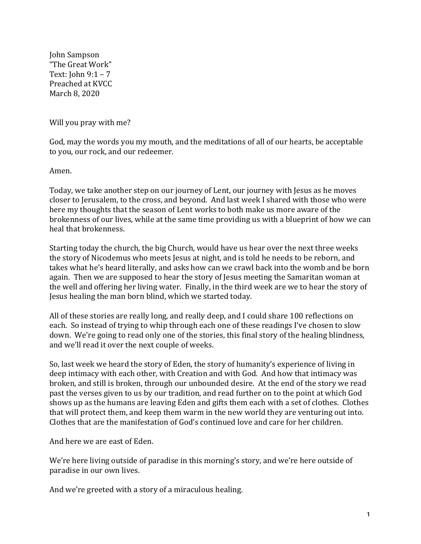John Sampson "The Great Work" Text:  $\text{John } 9:1 - 7$ Preached at KVCC March 8, 2020

Will you pray with me?

God, may the words you my mouth, and the meditations of all of our hearts, be acceptable to you, our rock, and our redeemer.

Amen.

Today, we take another step on our journey of Lent, our journey with Jesus as he moves closer to Jerusalem, to the cross, and beyond. And last week I shared with those who were here my thoughts that the season of Lent works to both make us more aware of the brokenness of our lives, while at the same time providing us with a blueprint of how we can heal that brokenness.

Starting today the church, the big Church, would have us hear over the next three weeks the story of Nicodemus who meets Jesus at night, and is told he needs to be reborn, and takes what he's heard literally, and asks how can we crawl back into the womb and be born again. Then we are supposed to hear the story of Jesus meeting the Samaritan woman at the well and offering her living water. Finally, in the third week are we to hear the story of Jesus healing the man born blind, which we started today.

All of these stories are really long, and really deep, and I could share 100 reflections on each. So instead of trying to whip through each one of these readings I've chosen to slow down. We're going to read only one of the stories, this final story of the healing blindness, and we'll read it over the next couple of weeks.

So, last week we heard the story of Eden, the story of humanity's experience of living in deep intimacy with each other, with Creation and with God. And how that intimacy was broken, and still is broken, through our unbounded desire. At the end of the story we read past the verses given to us by our tradition, and read further on to the point at which God shows up as the humans are leaving Eden and gifts them each with a set of clothes. Clothes that will protect them, and keep them warm in the new world they are venturing out into. Clothes that are the manifestation of  $God's$  continued love and care for her children.

And here we are east of Eden.

We're here living outside of paradise in this morning's story, and we're here outside of paradise in our own lives.

And we're greeted with a story of a miraculous healing.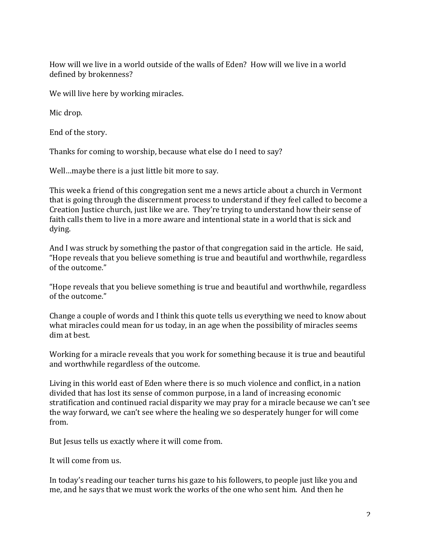How will we live in a world outside of the walls of Eden? How will we live in a world defined by brokenness?

We will live here by working miracles.

Mic drop.

End of the story.

Thanks for coming to worship, because what else do I need to say?

Well...maybe there is a just little bit more to say.

This week a friend of this congregation sent me a news article about a church in Vermont that is going through the discernment process to understand if they feel called to become a Creation Justice church, just like we are. They're trying to understand how their sense of faith calls them to live in a more aware and intentional state in a world that is sick and dying.

And I was struck by something the pastor of that congregation said in the article. He said, "Hope reveals that you believe something is true and beautiful and worthwhile, regardless of the outcome."

"Hope reveals that you believe something is true and beautiful and worthwhile, regardless of the outcome."

Change a couple of words and I think this quote tells us everything we need to know about what miracles could mean for us today, in an age when the possibility of miracles seems dim at hest.

Working for a miracle reveals that you work for something because it is true and beautiful and worthwhile regardless of the outcome.

Living in this world east of Eden where there is so much violence and conflict, in a nation divided that has lost its sense of common purpose, in a land of increasing economic stratification and continued racial disparity we may pray for a miracle because we can't see the way forward, we can't see where the healing we so desperately hunger for will come from.

But Jesus tells us exactly where it will come from.

It will come from us.

In today's reading our teacher turns his gaze to his followers, to people just like you and me, and he says that we must work the works of the one who sent him. And then he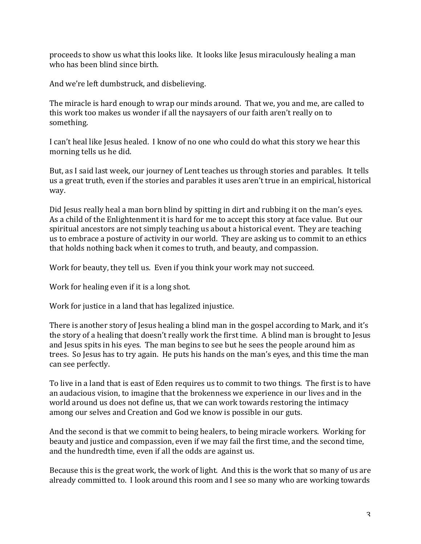proceeds to show us what this looks like. It looks like Jesus miraculously healing a man who has been blind since birth.

And we're left dumbstruck, and disbelieving.

The miracle is hard enough to wrap our minds around. That we, you and me, are called to this work too makes us wonder if all the naysayers of our faith aren't really on to something.

I can't heal like Jesus healed. I know of no one who could do what this story we hear this morning tells us he did.

But, as I said last week, our journey of Lent teaches us through stories and parables. It tells us a great truth, even if the stories and parables it uses aren't true in an empirical, historical way.

Did Jesus really heal a man born blind by spitting in dirt and rubbing it on the man's eyes. As a child of the Enlightenment it is hard for me to accept this story at face value. But our spiritual ancestors are not simply teaching us about a historical event. They are teaching us to embrace a posture of activity in our world. They are asking us to commit to an ethics that holds nothing back when it comes to truth, and beauty, and compassion.

Work for beauty, they tell us. Even if you think your work may not succeed.

Work for healing even if it is a long shot.

Work for justice in a land that has legalized injustice.

There is another story of Jesus healing a blind man in the gospel according to Mark, and it's the story of a healing that doesn't really work the first time. A blind man is brought to Jesus and Jesus spits in his eyes. The man begins to see but he sees the people around him as trees. So Jesus has to try again. He puts his hands on the man's eyes, and this time the man can see perfectly.

To live in a land that is east of Eden requires us to commit to two things. The first is to have an audacious vision, to imagine that the brokenness we experience in our lives and in the world around us does not define us, that we can work towards restoring the intimacy among our selves and Creation and God we know is possible in our guts.

And the second is that we commit to being healers, to being miracle workers. Working for beauty and justice and compassion, even if we may fail the first time, and the second time, and the hundredth time, even if all the odds are against us.

Because this is the great work, the work of light. And this is the work that so many of us are already committed to. I look around this room and I see so many who are working towards